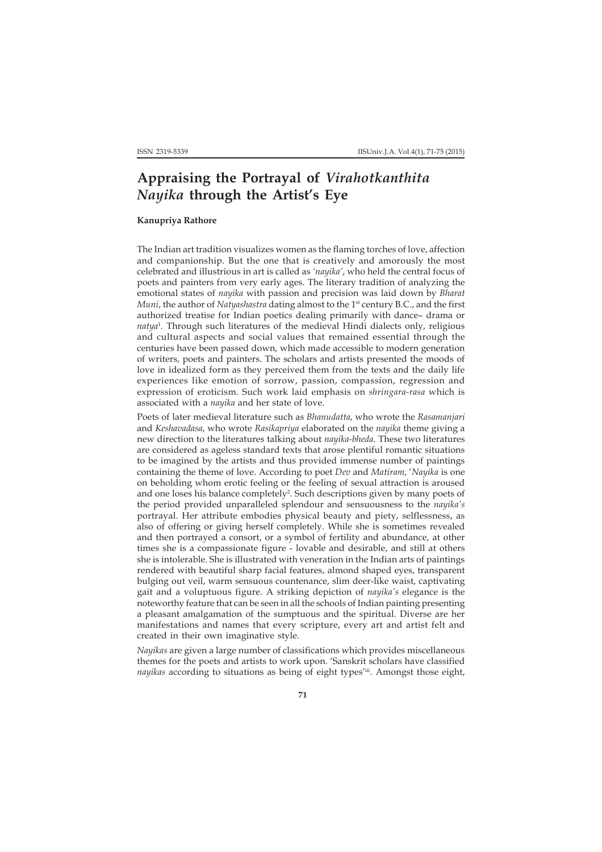# **Appraising the Portrayal of** *Virahotkanthita Nayika* **through the Artist's Eye**

# **Kanupriya Rathore**

The Indian art tradition visualizes women as the flaming torches of love, affection and companionship. But the one that is creatively and amorously the most celebrated and illustrious in art is called as *'nayika'*, who held the central focus of poets and painters from very early ages. The literary tradition of analyzing the emotional states of *nayika* with passion and precision was laid down by *Bharat Muni*, the author of *Natyashastra* dating almost to the 1<sup>st</sup> century B.C., and the first authorized treatise for Indian poetics dealing primarily with dance– drama or *natya*<sup>1</sup> *.* Through such literatures of the medieval Hindi dialects only, religious and cultural aspects and social values that remained essential through the centuries have been passed down, which made accessible to modern generation of writers, poets and painters. The scholars and artists presented the moods of love in idealized form as they perceived them from the texts and the daily life experiences like emotion of sorrow, passion, compassion, regression and expression of eroticism. Such work laid emphasis on *shringara-rasa* which is associated with a *nayika* and her state of love.

Poets of later medieval literature such as *Bhanudatta*, who wrote the *Rasamanjari* and *Keshavadasa*, who wrote *Rasikapriya* elaborated on the *nayika* theme giving a new direction to the literatures talking about *nayika-bheda.* These two literatures are considered as ageless standard texts that arose plentiful romantic situations to be imagined by the artists and thus provided immense number of paintings containing the theme of love. According to poet *Dev* and *Matiram*, '*Nayika* is one on beholding whom erotic feeling or the feeling of sexual attraction is aroused and one loses his balance completely<sup>2</sup>. Such descriptions given by many poets of the period provided unparalleled splendour and sensuousness to the *nayika's* portrayal. Her attribute embodies physical beauty and piety, selflessness, as also of offering or giving herself completely. While she is sometimes revealed and then portrayed a consort, or a symbol of fertility and abundance, at other times she is a compassionate figure - lovable and desirable, and still at others she is intolerable. She is illustrated with veneration in the Indian arts of paintings rendered with beautiful sharp facial features, almond shaped eyes, transparent bulging out veil, warm sensuous countenance, slim deer-like waist, captivating gait and a voluptuous figure. A striking depiction of *nayika's* elegance is the noteworthy feature that can be seen in all the schools of Indian painting presenting a pleasant amalgamation of the sumptuous and the spiritual. Diverse are her manifestations and names that every scripture, every art and artist felt and created in their own imaginative style.

*Nayikas* are given a large number of classifications which provides miscellaneous themes for the poets and artists to work upon. 'Sanskrit scholars have classified *nayikas* according to situations as being of eight types'iii. Amongst those eight,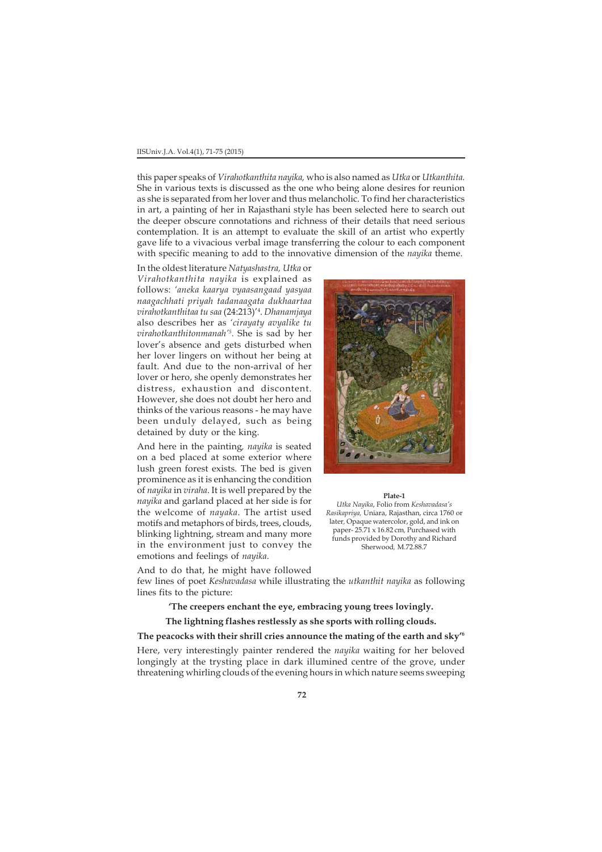#### IISUniv.J.A. Vol.4(1), 71-75 (2015)

this paper speaks of *Virahotkanthita nayika,* who is also named as *Utka* or *Utkanthita.* She in various texts is discussed as the one who being alone desires for reunion as she is separated from her lover and thus melancholic. To find her characteristics in art, a painting of her in Rajasthani style has been selected here to search out the deeper obscure connotations and richness of their details that need serious contemplation. It is an attempt to evaluate the skill of an artist who expertly gave life to a vivacious verbal image transferring the colour to each component with specific meaning to add to the innovative dimension of the *nayika* theme.

In the oldest literature *Natyashastra, Utka* or *Virahotkanthita nayika* is explained as follows: *'aneka kaarya vyaasangaad yasyaa naagachhati priyah tadanaagata dukhaartaa virahotkanthitaa tu saa* (24:213)'4 . *Dhanamjaya* also describes her as *'cirayaty avyalike tu virahotkanthitonmanah'5 .* She is sad by her lover's absence and gets disturbed when her lover lingers on without her being at fault. And due to the non-arrival of her lover or hero, she openly demonstrates her distress, exhaustion and discontent. However, she does not doubt her hero and thinks of the various reasons - he may have been unduly delayed, such as being detained by duty or the king.

And here in the painting*, nayika* is seated on a bed placed at some exterior where lush green forest exists. The bed is given prominence as it is enhancing the condition of *nayika* in *viraha*. It is well prepared by the *nayika* and garland placed at her side is for the welcome of *nayaka*. The artist used motifs and metaphors of birds, trees, clouds, blinking lightning, stream and many more in the environment just to convey the emotions and feelings of *nayika*.



#### **Plate-1**

*Utka Nayika*, Folio from *Keshavadasa's Rasikapriya,* Uniara, Rajasthan, circa 1760 or later*,* Opaque watercolor, gold, and ink on paper- 25.71 x 16.82 cm*,* Purchased with funds provided by Dorothy and Richard Sherwood*,* M.72.88.7

And to do that, he might have followed few lines of poet *Keshavadasa* while illustrating the *utkanthit nayika* as following lines fits to the picture:

# **'The creepers enchant the eye, embracing young trees lovingly.**

# **The lightning flashes restlessly as she sports with rolling clouds.**

# **The peacocks with their shrill cries announce the mating of the earth and sky'6**

Here, very interestingly painter rendered the *nayika* waiting for her beloved longingly at the trysting place in dark illumined centre of the grove, under threatening whirling clouds of the evening hours in which nature seems sweeping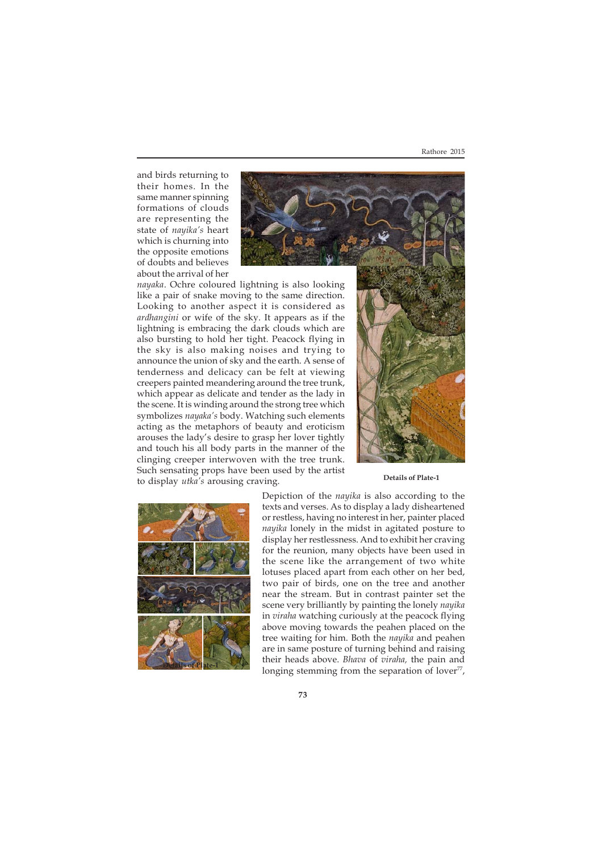and birds returning to their homes. In the same manner spinning formations of clouds are representing the state of *nayika's* heart which is churning into the opposite emotions of doubts and believes about the arrival of her



*nayaka*. Ochre coloured lightning is also looking like a pair of snake moving to the same direction. Looking to another aspect it is considered as *ardhangini* or wife of the sky. It appears as if the lightning is embracing the dark clouds which are also bursting to hold her tight. Peacock flying in the sky is also making noises and trying to announce the union of sky and the earth. A sense of tenderness and delicacy can be felt at viewing creepers painted meandering around the tree trunk, which appear as delicate and tender as the lady in the scene. It is winding around the strong tree which symbolizes *nayaka's* body. Watching such elements acting as the metaphors of beauty and eroticism arouses the lady's desire to grasp her lover tightly and touch his all body parts in the manner of the clinging creeper interwoven with the tree trunk. Such sensating props have been used by the artist to display *utka's* arousing craving.



### **Details of Plate-1**



Depiction of the *nayika* is also according to the texts and verses. As to display a lady disheartened or restless, having no interest in her, painter placed *nayika* lonely in the midst in agitated posture to display her restlessness. And to exhibit her craving for the reunion, many objects have been used in the scene like the arrangement of two white lotuses placed apart from each other on her bed, two pair of birds, one on the tree and another near the stream. But in contrast painter set the scene very brilliantly by painting the lonely *nayika* in *viraha* watching curiously at the peacock flying above moving towards the peahen placed on the tree waiting for him. Both the *nayika* and peahen are in same posture of turning behind and raising their heads above. *Bhava* of *viraha,* the pain and longing stemming from the separation of lover $77$ ,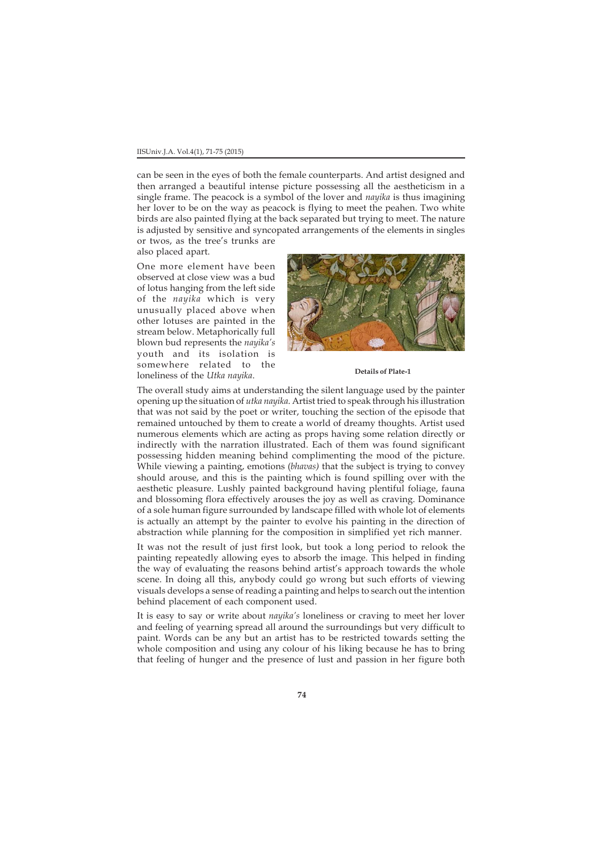# IISUniv.J.A. Vol.4(1), 71-75 (2015)

can be seen in the eyes of both the female counterparts. And artist designed and then arranged a beautiful intense picture possessing all the aestheticism in a single frame. The peacock is a symbol of the lover and *nayika* is thus imagining her lover to be on the way as peacock is flying to meet the peahen. Two white birds are also painted flying at the back separated but trying to meet. The nature is adjusted by sensitive and syncopated arrangements of the elements in singles or twos, as the tree's trunks are

also placed apart.

One more element have been observed at close view was a bud of lotus hanging from the left side of the *nayika* which is very unusually placed above when other lotuses are painted in the stream below. Metaphorically full blown bud represents the *nayika's* youth and its isolation is somewhere related to the loneliness of the *Utka nayika*.



#### **Details of Plate-1**

The overall study aims at understanding the silent language used by the painter opening up the situation of *utka nayika*. Artist tried to speak through his illustration that was not said by the poet or writer, touching the section of the episode that remained untouched by them to create a world of dreamy thoughts. Artist used numerous elements which are acting as props having some relation directly or indirectly with the narration illustrated. Each of them was found significant possessing hidden meaning behind complimenting the mood of the picture. While viewing a painting, emotions (*bhavas)* that the subject is trying to convey should arouse, and this is the painting which is found spilling over with the aesthetic pleasure. Lushly painted background having plentiful foliage, fauna and blossoming flora effectively arouses the joy as well as craving. Dominance of a sole human figure surrounded by landscape filled with whole lot of elements is actually an attempt by the painter to evolve his painting in the direction of abstraction while planning for the composition in simplified yet rich manner.

It was not the result of just first look, but took a long period to relook the painting repeatedly allowing eyes to absorb the image. This helped in finding the way of evaluating the reasons behind artist's approach towards the whole scene. In doing all this, anybody could go wrong but such efforts of viewing visuals develops a sense of reading a painting and helps to search out the intention behind placement of each component used.

It is easy to say or write about *nayika's* loneliness or craving to meet her lover and feeling of yearning spread all around the surroundings but very difficult to paint. Words can be any but an artist has to be restricted towards setting the whole composition and using any colour of his liking because he has to bring that feeling of hunger and the presence of lust and passion in her figure both